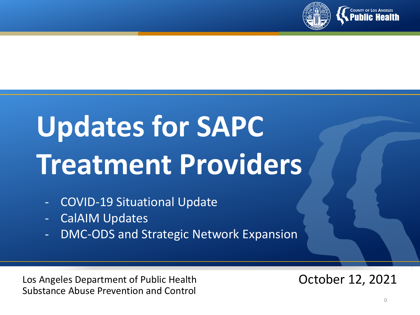

# **Updates for SAPC Treatment Providers**

- COVID-19 Situational Update
- CalAIM Updates
- DMC-ODS and Strategic Network Expansion

Los Angeles Department of Public Health Substance Abuse Prevention and Control

October 12, 2021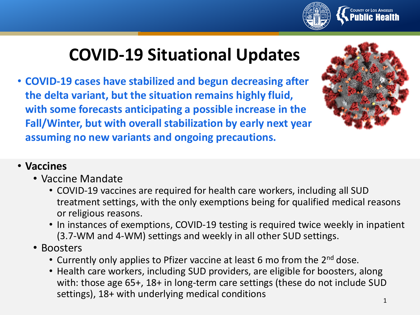

## **COVID-19 Situational Updates**

• **COVID-19 cases have stabilized and begun decreasing after the delta variant, but the situation remains highly fluid, with some forecasts anticipating a possible increase in the Fall/Winter, but with overall stabilization by early next year assuming no new variants and ongoing precautions.** 



#### • **Vaccines**

- Vaccine Mandate
	- COVID-19 vaccines are required for health care workers, including all SUD treatment settings, with the only exemptions being for qualified medical reasons or religious reasons.
	- In instances of exemptions, COVID-19 testing is required twice weekly in inpatient (3.7-WM and 4-WM) settings and weekly in all other SUD settings.
- Boosters
	- Currently only applies to Pfizer vaccine at least 6 mo from the 2<sup>nd</sup> dose.
	- Health care workers, including SUD providers, are eligible for boosters, along with: those age 65+, 18+ in long-term care settings (these do not include SUD settings), 18+ with underlying medical conditions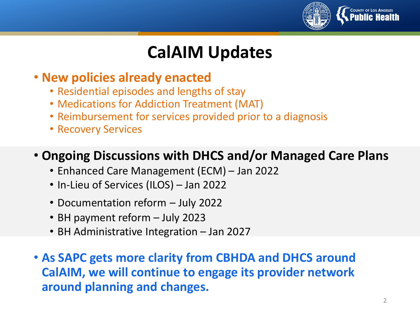

## **CalAIM Updates**

#### • **New policies already enacted**

- Residential episodes and lengths of stay
- Medications for Addiction Treatment (MAT)
- Reimbursement for services provided prior to a diagnosis
- Recovery Services

#### • **Ongoing Discussions with DHCS and/or Managed Care Plans**

- Enhanced Care Management (ECM) Jan 2022
- In-Lieu of Services (ILOS) Jan 2022
- Documentation reform July 2022
- BH payment reform July 2023
- BH Administrative Integration Jan 2027
- **As SAPC gets more clarity from CBHDA and DHCS around CalAIM, we will continue to engage its provider network around planning and changes.**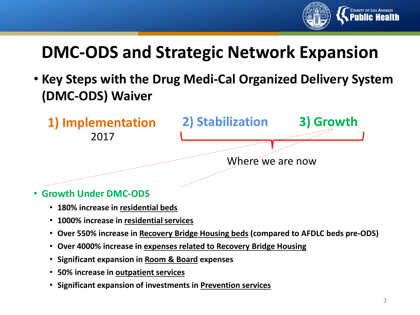

## **DMC-ODS and Strategic Network Expansion**

• **Key Steps with the Drug Medi-Cal Organized Delivery System (DMC-ODS) Waiver**



- **Growth Under DMC-ODS**
	- **180% increase in residential beds**
	- **1000% increase in residential services**
	- **Over 550% increase in Recovery Bridge Housing beds (compared to AFDLC beds pre-ODS)**
	- **Over 4000% increase in expenses related to Recovery Bridge Housing**
	- **Significant expansion in Room & Board expenses**
	- **50% increase in outpatient services**
	- **Significant expansion of investments in Prevention services**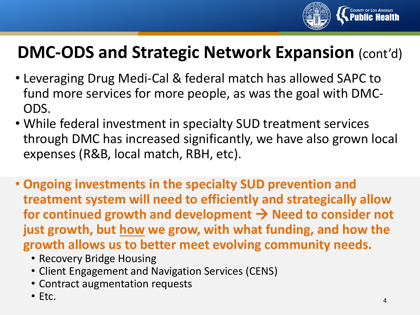

## **DMC-ODS and Strategic Network Expansion** (cont'd)

- Leveraging Drug Medi-Cal & federal match has allowed SAPC to fund more services for more people, as was the goal with DMC-ODS.
- While federal investment in specialty SUD treatment services through DMC has increased significantly, we have also grown local expenses (R&B, local match, RBH, etc).
- **Ongoing investments in the specialty SUD prevention and treatment system will need to efficiently and strategically allow**  for continued growth and development  $\rightarrow$  Need to consider not **just growth, but how we grow, with what funding, and how the growth allows us to better meet evolving community needs.**
	- Recovery Bridge Housing
	- Client Engagement and Navigation Services (CENS)
	- Contract augmentation requests
	- Etc.